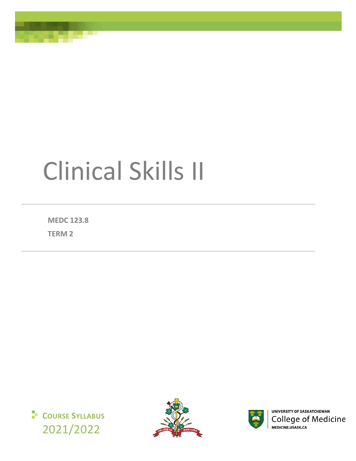# Clinical Skills II

**MEDC 123.8**

**TERM 2**







**UNIVERSITY OF SASKATCHEWAN College of Medicine** MEDICINE.USASK.CA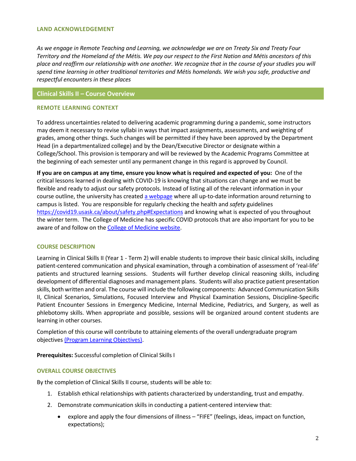#### **LAND ACKNOWLEDGEMENT**

*As we engage in Remote Teaching and Learning, we acknowledge we are on Treaty Six and Treaty Four Territory and the Homeland of the Métis. We pay our respect to the First Nation and Métis ancestors of this place and reaffirm our relationship with one another. We recognize that in the course of your studies you will spend time learning in other traditional territories and Métis homelands. We wish you safe, productive and respectful encounters in these places*

# **Clinical Skills II – Course Overview**

## **REMOTE LEARNING CONTEXT**

To address uncertainties related to delivering academic programming during a pandemic, some instructors may deem it necessary to revise syllabi in ways that impact assignments, assessments, and weighting of grades, among other things. Such changes will be permitted if they have been approved by the Department Head (in a departmentalized college) and by the Dean/Executive Director or designate within a College/School. This provision is temporary and will be reviewed by the Academic Programs Committee at the beginning of each semester until any permanent change in this regard is approved by Council.

**If you are on campus at any time, ensure you know what is required and expected of you:** One of the critical lessons learned in dealing with COVID-19 is knowing that situations can change and we must be flexible and ready to adjust our safety protocols. Instead of listing all of the relevant information in your course outline, the university has create[d a webpage](https://covid19.usask.ca/students.php#Oncampusessentials) where all up-to-date information around returning to campus is listed. You are responsible for regularly checking the health and *safety* guidelines <https://covid19.usask.ca/about/safety.php#Expectations> and knowing what is expected of you throughout the winter term. The College of Medicine has specific COVID protocols that are also important for you to be aware of and follow on the [College of Medicine website.](https://medicine.usask.ca/students/covid19.php)

## **COURSE DESCRIPTION**

Learning in Clinical Skills II (Year 1 - Term 2) will enable students to improve their basic clinical skills, including patient-centered communication and physical examination, through a combination of assessment of 'real-life' patients and structured learning sessions. Students will further develop clinical reasoning skills, including development of differential diagnoses and management plans. Students will also practice patient presentation skills, both written and oral. The course will include the following components: Advanced Communication Skills II, Clinical Scenarios, Simulations, Focused Interview and Physical Examination Sessions, Discipline-Specific Patient Encounter Sessions in Emergency Medicine, Internal Medicine, Pediatrics, and Surgery, as well as phlebotomy skills. When appropriate and possible, sessions will be organized around content students are learning in other courses.

Completion of this course will contribute to attaining elements of the overall undergraduate program objectives [\(Program Learning Objectives\)](https://medicine.usask.ca/students/undergraduate/curriculum-schedules-objectives.php#ProgramLearningObjectives).

**Prerequisites:** Successful completion of Clinical Skills I

# **OVERALL COURSE OBJECTIVES**

By the completion of Clinical Skills II course, students will be able to:

- 1. Establish ethical relationships with patients characterized by understanding, trust and empathy.
- 2. Demonstrate communication skills in conducting a patient-centered interview that:
	- explore and apply the four dimensions of illness "FIFE" (feelings, ideas, impact on function, expectations);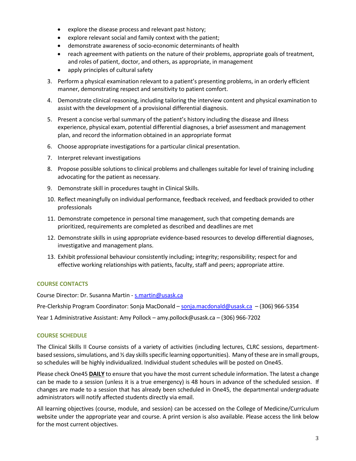- explore the disease process and relevant past history;
- explore relevant social and family context with the patient;
- demonstrate awareness of socio-economic determinants of health
- reach agreement with patients on the nature of their problems, appropriate goals of treatment, and roles of patient, doctor, and others, as appropriate, in management
- apply principles of cultural safety
- 3. Perform a physical examination relevant to a patient's presenting problems, in an orderly efficient manner, demonstrating respect and sensitivity to patient comfort.
- 4. Demonstrate clinical reasoning, including tailoring the interview content and physical examination to assist with the development of a provisional differential diagnosis.
- 5. Present a concise verbal summary of the patient's history including the disease and illness experience, physical exam, potential differential diagnoses, a brief assessment and management plan, and record the information obtained in an appropriate format
- 6. Choose appropriate investigations for a particular clinical presentation.
- 7. Interpret relevant investigations
- 8. Propose possible solutions to clinical problems and challenges suitable for level of training including advocating for the patient as necessary.
- 9. Demonstrate skill in procedures taught in Clinical Skills.
- 10. Reflect meaningfully on individual performance, feedback received, and feedback provided to other professionals
- 11. Demonstrate competence in personal time management, such that competing demands are prioritized, requirements are completed as described and deadlines are met
- 12. Demonstrate skills in using appropriate evidence-based resources to develop differential diagnoses, investigative and management plans.
- 13. Exhibit professional behaviour consistently including; integrity; responsibility; respect for and effective working relationships with patients, faculty, staff and peers; appropriate attire.

# **COURSE CONTACTS**

Course Director: Dr. Susanna Martin - [s.martin@usask.ca](mailto:s.marting@usask.ca)

Pre-Clerkship Program Coordinator: Sonja MacDonald – [sonja.macdonald@usask.ca](mailto:sonja.macdonald@usask.ca) - (306) 966-5354

Year 1 Administrative Assistant: Amy Pollock – amy.pollock@usask.ca – (306) 966-7202

# **COURSE SCHEDULE**

The Clinical Skills II Course consists of a variety of activities (including lectures, CLRC sessions, departmentbased sessions, simulations, and ½ day skills specific learning opportunities). Many of these are in small groups, so schedules will be highly individualized. Individual student schedules will be posted on One45.

Please check One45 **DAILY** to ensure that you have the most current schedule information. The latest a change can be made to a session (unless it is a true emergency) is 48 hours in advance of the scheduled session. If changes are made to a session that has already been scheduled in One45, the departmental undergraduate administrators will notify affected students directly via email.

All learning objectives (course, module, and session) can be accessed on the College of Medicine/Curriculum website under the appropriate year and course. A print version is also available. Please access the link below for the most current objectives.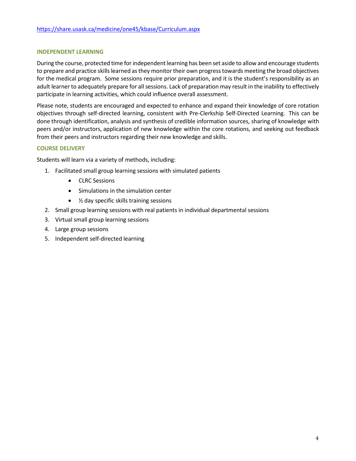## **INDEPENDENT LEARNING**

During the course, protected time for independent learning has been set aside to allow and encourage students to prepare and practice skills learned as they monitor their own progress towards meeting the broad objectives for the medical program. Some sessions require prior preparation, and it is the student's responsibility as an adult learner to adequately prepare for all sessions. Lack of preparation may result in the inability to effectively participate in learning activities, which could influence overall assessment.

Please note, students are encouraged and expected to enhance and expand their knowledge of core rotation objectives through self-directed learning, consistent with Pre-Clerkship Self-Directed Learning. This can be done through identification, analysis and synthesis of credible information sources, sharing of knowledge with peers and/or instructors, application of new knowledge within the core rotations, and seeking out feedback from their peers and instructors regarding their new knowledge and skills.

# **COURSE DELIVERY**

Students will learn via a variety of methods, including:

- 1. Facilitated small group learning sessions with simulated patients
	- CLRC Sessions
	- Simulations in the simulation center
	- $\frac{1}{2}$  day specific skills training sessions
- 2. Small group learning sessions with real patients in individual departmental sessions
- 3. Virtual small group learning sessions
- 4. Large group sessions
- 5. Independent self-directed learning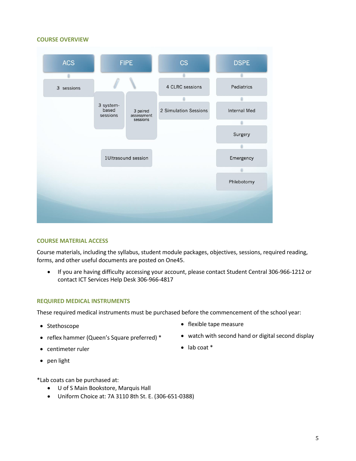#### **COURSE OVERVIEW**



#### **COURSE MATERIAL ACCESS**

Course materials, including the syllabus, student module packages, objectives, sessions, required reading, forms, and other useful documents are posted on One45.

• If you are having difficulty accessing your account, please contact Student Central 306-966-1212 or contact ICT Services Help Desk 306-966-4817

#### **REQUIRED MEDICAL INSTRUMENTS**

These required medical instruments must be purchased before the commencement of the school year:

- 
- 
- centimeter ruler lab coat \*
- pen light

\*Lab coats can be purchased at:

- U of S Main Bookstore, Marquis Hall
- Uniform Choice at: 7A 3110 8th St. E. (306-651-0388)
- Stethoscope stethoscope flexible tape measure
- reflex hammer (Queen's Square preferred) \* • watch with second hand or digital second display
	-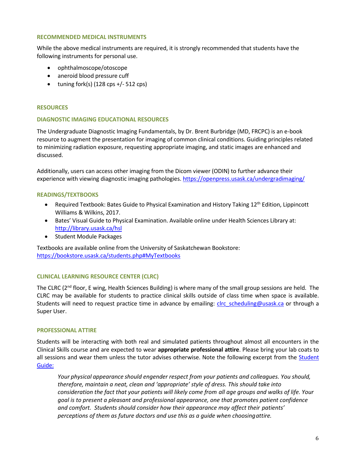## **RECOMMENDED MEDICAL INSTRUMENTS**

While the above medical instruments are required, it is strongly recommended that students have the following instruments for personal use.

- ophthalmoscope/otoscope
- aneroid blood pressure cuff
- tuning fork(s)  $(128 \text{cps} +/- 512 \text{cps})$

## **RESOURCES**

## **DIAGNOSTIC IMAGING EDUCATIONAL RESOURCES**

The Undergraduate Diagnostic Imaging Fundamentals, by Dr. Brent Burbridge (MD, FRCPC) is an e-book resource to augment the presentation for imaging of common clinical conditions. Guiding principles related to minimizing radiation exposure, requesting appropriate imaging, and static images are enhanced and discussed.

Additionally, users can access other imaging from the Dicom viewer (ODIN) to further advance their experience with viewing diagnostic imaging pathologies[. https://openpress.usask.ca/undergradimaging/](https://openpress.usask.ca/undergradimaging/)

# **READINGS/TEXTBOOKS**

- Required Textbook: Bates Guide to Physical Examination and History Taking 12<sup>th</sup> Edition, Lippincott Williams & Wilkins, 2017.
- Bates' Visual Guide to Physical Examination. Available online under Health Sciences Library at: <http://library.usask.ca/hsl>
- Student Module Packages

Textbooks are available online from the University of Saskatchewan Bookstore: <https://bookstore.usask.ca/students.php#MyTextbooks>

# **CLINICAL LEARNING RESOURCE CENTER (CLRC)**

The CLRC (2<sup>nd</sup> floor, E wing, Health Sciences Building) is where many of the small group sessions are held. The CLRC may be available for students to practice clinical skills outside of class time when space is available. Students will need to request practice time in advance by emailing: *clrc\_scheduling@usask.ca* or through a Super User.

## **PROFESSIONAL ATTIRE**

Students will be interacting with both real and simulated patients throughout almost all encounters in the Clinical Skills course and are expected to wear **appropriate professional attire**. Please bring your lab coats to all sessions and wear them unless the tutor advises otherwise. Note the following excerpt from the Student [Guide:](https://medicine.usask.ca/documents/ugme/syllabi/student-guide-to-pre-clerkship.pdf)

*Your physical appearance should engender respect from your patients and colleagues. You should, therefore, maintain a neat, clean and 'appropriate' style of dress. This should take into consideration the fact that your patients will likely come from all age groups and walks of life. Your goal is to present a pleasant and professional appearance, one that promotes patient confidence and comfort. Students should consider how their appearance may affect their patients' perceptions of them as future doctors and use this as a guide when choosingattire.*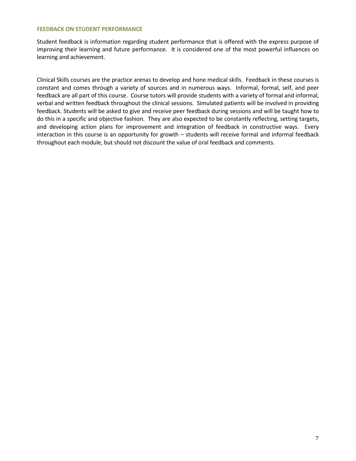## **FEEDBACK ON STUDENT PERFORMANCE**

Student feedback is information regarding student performance that is offered with the express purpose of improving their learning and future performance. It is considered one of the most powerful influences on learning and achievement.

Clinical Skills courses are the practice arenas to develop and hone medical skills. Feedback in these courses is constant and comes through a variety of sources and in numerous ways. Informal, formal, self, and peer feedback are all part of this course. Course tutors will provide students with a variety of formal and informal, verbal and written feedback throughout the clinical sessions. Simulated patients will be involved in providing feedback. Students will be asked to give and receive peer feedback during sessions and will be taught how to do this in a specific and objective fashion. They are also expected to be constantly reflecting, setting targets, and developing action plans for improvement and integration of feedback in constructive ways. Every interaction in this course is an opportunity for growth – students will receive formal and informal feedback throughout each module, but should not discount the value of oral feedback and comments.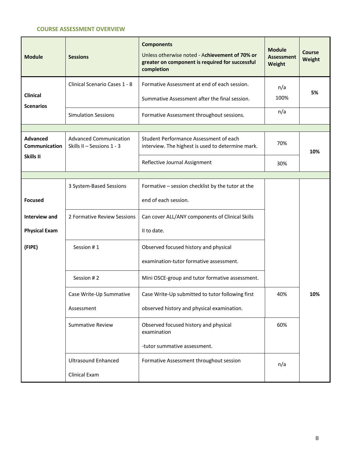# **COURSE ASSESSMENT OVERVIEW**

| <b>Module</b>                    | <b>Sessions</b>                                                       | <b>Components</b><br>Unless otherwise noted - Achievement of 70% or<br>greater on component is required for successful<br>completion | <b>Module</b><br><b>Assessment</b><br><b>Weight</b> | <b>Course</b><br>Weight |  |
|----------------------------------|-----------------------------------------------------------------------|--------------------------------------------------------------------------------------------------------------------------------------|-----------------------------------------------------|-------------------------|--|
|                                  | Clinical Scenario Cases 1 - 8                                         | Formative Assessment at end of each session.                                                                                         | n/a                                                 |                         |  |
| Clinical<br><b>Scenarios</b>     |                                                                       | Summative Assessment after the final session.                                                                                        | 100%                                                | 5%                      |  |
|                                  | <b>Simulation Sessions</b>                                            | Formative Assessment throughout sessions.                                                                                            | n/a                                                 |                         |  |
|                                  |                                                                       |                                                                                                                                      |                                                     |                         |  |
| <b>Advanced</b><br>Communication | <b>Advanced Communication</b><br>Skills II - Sessions 1 - 3           | Student Performance Assessment of each<br>interview. The highest is used to determine mark.                                          | 70%                                                 | 10%                     |  |
| Skills II                        |                                                                       | Reflective Journal Assignment                                                                                                        | 30%                                                 |                         |  |
|                                  |                                                                       |                                                                                                                                      |                                                     |                         |  |
|                                  | 3 System-Based Sessions                                               | Formative - session checklist by the tutor at the                                                                                    |                                                     |                         |  |
| <b>Focused</b>                   |                                                                       | end of each session.                                                                                                                 |                                                     |                         |  |
| Interview and                    | 2 Formative Review Sessions                                           | Can cover ALL/ANY components of Clinical Skills                                                                                      |                                                     |                         |  |
| <b>Physical Exam</b>             |                                                                       | II to date.                                                                                                                          |                                                     |                         |  |
| (FIPE)                           | Session #1<br>Observed focused history and physical                   |                                                                                                                                      |                                                     |                         |  |
|                                  |                                                                       | examination-tutor formative assessment.                                                                                              |                                                     |                         |  |
|                                  | Session #2                                                            | Mini OSCE-group and tutor formative assessment.                                                                                      |                                                     |                         |  |
|                                  | Case Write-Up Summative                                               | Case Write-Up submitted to tutor following first                                                                                     | 40%                                                 | 10%                     |  |
|                                  | Assessment                                                            | observed history and physical examination.                                                                                           |                                                     |                         |  |
|                                  | <b>Summative Review</b>                                               | Observed focused history and physical<br>examination                                                                                 | 60%                                                 |                         |  |
|                                  |                                                                       | -tutor summative assessment.                                                                                                         |                                                     |                         |  |
|                                  | <b>Ultrasound Enhanced</b><br>Formative Assessment throughout session |                                                                                                                                      | n/a                                                 |                         |  |
|                                  | Clinical Exam                                                         |                                                                                                                                      |                                                     |                         |  |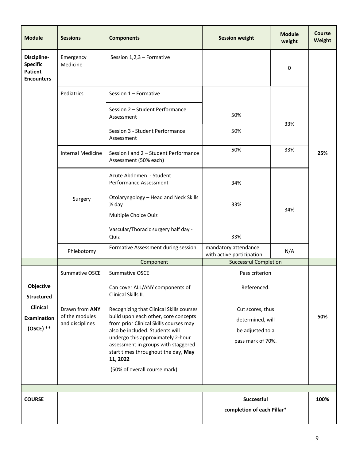| <b>Module</b>                                                         | <b>Sessions</b>                                     | <b>Components</b>                                                                                                                                                                                                                                                                                                            | <b>Session weight</b>                                                         | <b>Module</b><br>weight | <b>Course</b><br>Weight |  |  |
|-----------------------------------------------------------------------|-----------------------------------------------------|------------------------------------------------------------------------------------------------------------------------------------------------------------------------------------------------------------------------------------------------------------------------------------------------------------------------------|-------------------------------------------------------------------------------|-------------------------|-------------------------|--|--|
| Discipline-<br><b>Specific</b><br><b>Patient</b><br><b>Encounters</b> | Emergency<br>Medicine                               | Session 1,2,3 - Formative                                                                                                                                                                                                                                                                                                    |                                                                               | 0                       |                         |  |  |
|                                                                       | Pediatrics                                          | Session 1 - Formative                                                                                                                                                                                                                                                                                                        |                                                                               |                         |                         |  |  |
|                                                                       |                                                     | Session 2 - Student Performance<br>Assessment                                                                                                                                                                                                                                                                                | 50%                                                                           |                         |                         |  |  |
|                                                                       |                                                     | Session 3 - Student Performance<br>Assessment                                                                                                                                                                                                                                                                                | 50%                                                                           | 33%                     |                         |  |  |
|                                                                       | <b>Internal Medicine</b>                            | Session I and 2 - Student Performance<br>Assessment (50% each)                                                                                                                                                                                                                                                               | 50%                                                                           | 33%                     | 25%                     |  |  |
|                                                                       | Surgery                                             | Acute Abdomen - Student<br>Performance Assessment                                                                                                                                                                                                                                                                            | 34%                                                                           |                         |                         |  |  |
|                                                                       |                                                     | Otolaryngology - Head and Neck Skills<br>$\frac{1}{2}$ day<br>Multiple Choice Quiz                                                                                                                                                                                                                                           | 33%                                                                           | 34%                     |                         |  |  |
|                                                                       |                                                     | Vascular/Thoracic surgery half day -<br>Quiz                                                                                                                                                                                                                                                                                 | 33%                                                                           |                         |                         |  |  |
|                                                                       | Phlebotomy                                          | Formative Assessment during session                                                                                                                                                                                                                                                                                          | mandatory attendance<br>with active participation                             | N/A                     |                         |  |  |
|                                                                       |                                                     | <b>Successful Completion</b><br>Component                                                                                                                                                                                                                                                                                    |                                                                               |                         |                         |  |  |
|                                                                       | Summative OSCE                                      | <b>Summative OSCE</b><br>Pass criterion                                                                                                                                                                                                                                                                                      |                                                                               |                         |                         |  |  |
| Objective<br><b>Structured</b>                                        |                                                     | Can cover ALL/ANY components of<br>Clinical Skills II.                                                                                                                                                                                                                                                                       | Referenced.                                                                   |                         |                         |  |  |
| <b>Clinical</b><br><b>Examination</b><br>$(OSCE)$ **                  | Drawn from ANY<br>of the modules<br>and disciplines | Recognizing that Clinical Skills courses<br>build upon each other, core concepts<br>from prior Clinical Skills courses may<br>also be included. Students will<br>undergo this approximately 2-hour<br>assessment in groups with staggered<br>start times throughout the day, May<br>11, 2022<br>(50% of overall course mark) | Cut scores, thus<br>determined, will<br>be adjusted to a<br>pass mark of 70%. |                         | 50%                     |  |  |
|                                                                       |                                                     |                                                                                                                                                                                                                                                                                                                              |                                                                               |                         |                         |  |  |
|                                                                       |                                                     |                                                                                                                                                                                                                                                                                                                              |                                                                               |                         |                         |  |  |
| <b>COURSE</b>                                                         |                                                     |                                                                                                                                                                                                                                                                                                                              | Successful                                                                    |                         | 100%                    |  |  |
|                                                                       |                                                     |                                                                                                                                                                                                                                                                                                                              | completion of each Pillar*                                                    |                         |                         |  |  |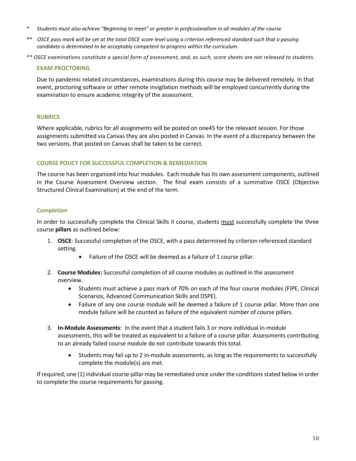- *\* Students must also achieve "Beginning to meet" or greater in professionalism in all modules of the course*
- *\*\* OSCE pass mark will be set at the total OSCE score level using a criterion referenced standard such that a passing candidate is determined to be acceptably competent to progress within the curriculum.*
- *\*\* OSCE examinations constitute a special form of assessment, and, as such, score sheets are not released to students.*

# **EXAM PROCTORING**

Due to pandemic related circumstances, examinations during this course may be delivered remotely. In that event, proctoring software or other remote invigilation methods will be employed concurrently during the examination to ensure academic integrity of the assessment.

# **RUBRICS**

Where applicable, rubrics for all assignments will be posted on one45 for the relevant session. For those assignments submitted via Canvas they are also posted in Canvas. In the event of a discrepancy between the two versions, that posted on Canvas shall be taken to be correct.

# **COURSE POLICY FOR SUCCESSFUL COMPLETION & REMEDIATION**

The course has been organized into four modules. Each module hasits own assessment components, outlined in the Course Assessment Overview section. The final exam consists of a summative OSCE (Objective Structured Clinical Examination) at the end of the term.

# **Completion**

In order to successfully complete the Clinical Skills II course, students must successfully complete the three course **pillars** as outlined below:

- 1. **OSCE**: Successful completion of the OSCE, with a pass determined by criterion referenced standard setting.
	- Failure of the OSCE will be deemed as a failure of 1 course pillar.
- 2. **Course Modules:** Successful completion of all course modules as outlined in the assessment overview.
	- Students must achieve a pass mark of 70% on each of the four course modules (FIPE, Clinical Scenarios, Advanced Communication Skills and DSPE).
	- Failure of any one course module will be deemed a failure of 1 course pillar. More than one module failure will be counted as failure of the equivalent number of course pillars.
- 3. **In-Module Assessments**: In the event that a student fails 3 or more individual in-module assessments, this will be treated as equivalent to a failure of a course pillar. Assessments contributing to an already failed course module do not contribute towards this total.
	- Students may fail up to 2 in-module assessments, as long as the requirements to successfully complete the module(s) are met.

If required, one (1) individual course pillar may be remediated once under the conditions stated below in order to complete the course requirements for passing.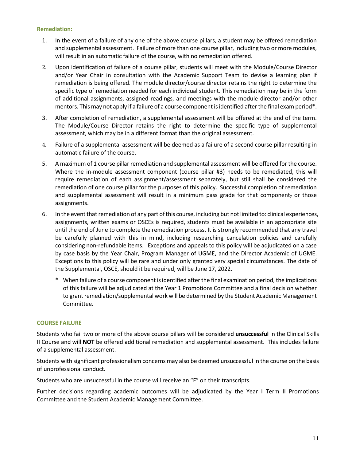## **Remediation:**

- 1. In the event of a failure of any one of the above course pillars, a student may be offered remediation and supplemental assessment. Failure of more than one course pillar, including two or more modules, will result in an automatic failure of the course, with no remediation offered.
- 2. Upon identification of failure of a course pillar, students will meet with the Module/Course Director and/or Year Chair in consultation with the Academic Support Team to devise a learning plan if remediation is being offered. The module director/course director retains the right to determine the specific type of remediation needed for each individual student. This remediation may be in the form of additional assignments, assigned readings, and meetings with the module director and/or other mentors. This may not apply if a failure of a course component is identified after the final exam period\*.
- 3. After completion of remediation, a supplemental assessment will be offered at the end of the term. The Module/Course Director retains the right to determine the specific type of supplemental assessment, which may be in a different format than the original assessment.
- 4. Failure of a supplemental assessment will be deemed as a failure of a second course pillar resulting in automatic failure of the course.
- 5. A maximum of 1 course pillar remediation and supplemental assessment will be offered for the course. Where the in-module assessment component (course pillar #3) needs to be remediated, this will require remediation of each assignment/assessment separately, but still shall be considered the remediation of one course pillar for the purposes of this policy. Successful completion of remediation and supplemental assessment will result in a minimum pass grade for that component, or those assignments.
- 6. In the event that remediation of any part of this course, including but not limited to: clinical experiences, assignments, written exams or OSCEs is required, students must be available in an appropriate site until the end of June to complete the remediation process. It is strongly recommended that any travel be carefully planned with this in mind, including researching cancelation policies and carefully considering non-refundable items. Exceptions and appeals to this policy will be adjudicated on a case by case basis by the Year Chair, Program Manager of UGME, and the Director Academic of UGME. Exceptions to this policy will be rare and under only granted very special circumstances. The date of the Supplemental, OSCE, should it be required, will be June 17, 2022.
	- \* When failure of a course component is identified after the final examination period, the implications of this failure will be adjudicated at the Year 1 Promotions Committee and a final decision whether to grant remediation/supplemental work will be determined by the Student Academic Management Committee.

## **COURSE FAILURE**

Students who fail two or more of the above course pillars will be considered **unsuccessful** in the Clinical Skills II Course and will **NOT** be offered additional remediation and supplemental assessment. This includes failure of a supplemental assessment.

Students with significant professionalism concerns may also be deemed unsuccessful in the course on the basis of unprofessional conduct.

Students who are unsuccessful in the course will receive an "F" on their transcripts.

Further decisions regarding academic outcomes will be adjudicated by the Year I Term II Promotions Committee and the Student Academic Management Committee.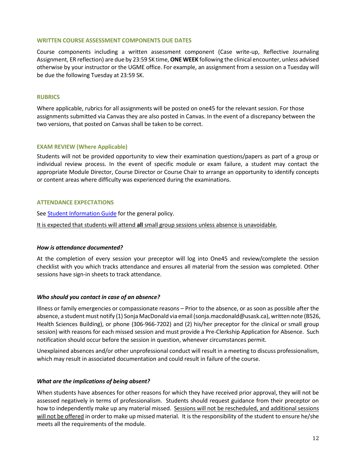## **WRITTEN COURSE ASSESSMENT COMPONENTS DUE DATES**

Course components including a written assessment component (Case write-up, Reflective Journaling Assignment, ER reflection) are due by 23:59 SK time, **ONE WEEK** following the clinical encounter, unless advised otherwise by your instructor or the UGME office. For example, an assignment from a session on a Tuesday will be due the following Tuesday at 23:59 SK.

## **RUBRICS**

Where applicable, rubrics for all assignments will be posted on one45 for the relevant session. For those assignments submitted via Canvas they are also posted in Canvas. In the event of a discrepancy between the two versions, that posted on Canvas shall be taken to be correct.

## **EXAM REVIEW (Where Applicable)**

Students will not be provided opportunity to view their examination questions/papers as part of a group or individual review process. In the event of specific module or exam failure, a student may contact the appropriate Module Director, Course Director or Course Chair to arrange an opportunity to identify concepts or content areas where difficulty was experienced during the examinations.

## **ATTENDANCE EXPECTATIONS**

See **Student Information Guide** for the general policy.

It is expected that students will attend **all** small group sessions unless absence is unavoidable.

## *How is attendance documented?*

At the completion of every session your preceptor will log into One45 and review/complete the session checklist with you which tracks attendance and ensures all material from the session was completed. Other sessions have sign-in sheets to track attendance.

## *Who should you contact in case of an absence?*

Illness or family emergencies or compassionate reasons – Prior to the absence, or as soon as possible after the absence, a student must notify (1) Sonja MacDonald via email (sonja.macdonald@usask.ca), written note (B526, Health Sciences Building), or phone (306-966-7202) and (2) his/her preceptor for the clinical or small group session) with reasons for each missed session and must provide a Pre-Clerkship Application for Absence. Such notification should occur before the session in question, whenever circumstances permit.

Unexplained absences and/or other unprofessional conduct will result in a meeting to discuss professionalism, which may result in associated documentation and could result in failure of the course.

# *What are the implications of being absent?*

When students have absences for other reasons for which they have received prior approval, they will not be assessed negatively in terms of professionalism. Students should request guidance from their preceptor on how to independently make up any material missed. Sessions will not be rescheduled, and additional sessions will not be offered in order to make up missed material. It is the responsibility of the student to ensure he/she meets all the requirements of the module.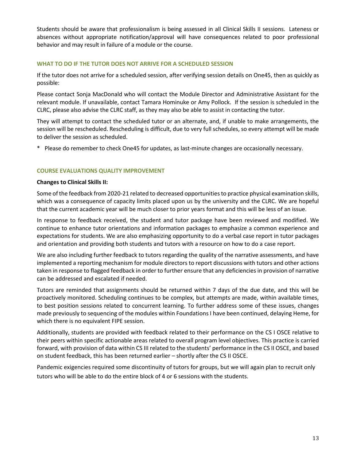Students should be aware that professionalism is being assessed in all Clinical Skills II sessions. Lateness or absences without appropriate notification/approval will have consequences related to poor professional behavior and may result in failure of a module or the course.

# **WHAT TO DO IF THE TUTOR DOES NOT ARRIVE FOR A SCHEDULED SESSION**

If the tutor does not arrive for a scheduled session, after verifying session details on One45, then as quickly as possible:

Please contact Sonja MacDonald who will contact the Module Director and Administrative Assistant for the relevant module. If unavailable, contact Tamara Hominuke or Amy Pollock. If the session is scheduled in the CLRC, please also advise the CLRC staff, as they may also be able to assist in contacting the tutor.

They will attempt to contact the scheduled tutor or an alternate, and, if unable to make arrangements, the session will be rescheduled. Rescheduling is difficult, due to very full schedules, so every attempt will be made to deliver the session as scheduled.

\* Please do remember to check One45 for updates, as last-minute changes are occasionally necessary.

# **COURSE EVALUATIONS QUALITY IMPROVEMENT**

## **Changes to Clinical Skills II:**

Some of the feedback from 2020-21 related to decreased opportunities to practice physical examination skills, which was a consequence of capacity limits placed upon us by the university and the CLRC. We are hopeful that the current academic year will be much closer to prior years format and this will be less of an issue.

In response to feedback received, the student and tutor package have been reviewed and modified. We continue to enhance tutor orientations and information packages to emphasize a common experience and expectations for students. We are also emphasizing opportunity to do a verbal case report in tutor packages and orientation and providing both students and tutors with a resource on how to do a case report.

We are also including further feedback to tutors regarding the quality of the narrative assessments, and have implemented a reporting mechanism for module directors to report discussions with tutors and other actions taken in response to flagged feedback in order to further ensure that any deficiencies in provision of narrative can be addressed and escalated if needed.

Tutors are reminded that assignments should be returned within 7 days of the due date, and this will be proactively monitored. Scheduling continues to be complex, but attempts are made, within available times, to best position sessions related to concurrent learning. To further address some of these issues, changes made previously to sequencing of the modules within Foundations I have been continued, delaying Heme, for which there is no equivalent FIPE session.

Additionally, students are provided with feedback related to their performance on the CS I OSCE relative to their peers within specific actionable areas related to overall program level objectives. This practice is carried forward, with provision of data within CS III related to the students' performance in the CS II OSCE, and based on student feedback, this has been returned earlier – shortly after the CS II OSCE.

Pandemic exigencies required some discontinuity of tutors for groups, but we will again plan to recruit only tutors who will be able to do the entire block of 4 or 6 sessions with the students.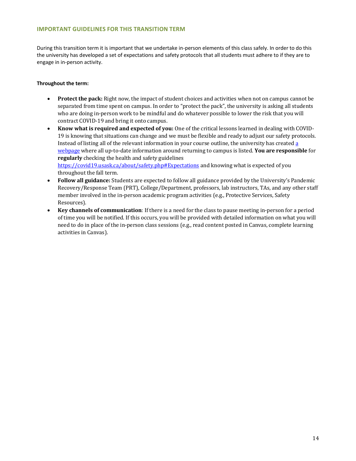## **IMPORTANT GUIDELINES FOR THIS TRANSITION TERM**

During this transition term it is important that we undertake in-person elements of this class safely. In order to do this the university has developed a set of expectations and safety protocols that all students must adhere to if they are to engage in in-person activity.

#### **Throughout the term:**

- **Protect the pack:** Right now, the impact of student choices and activities when not on campus cannot be separated from time spent on campus. In order to "protect the pack", the university is asking all students who are doing in-person work to be mindful and do whatever possible to lower the risk that you will contract COVID-19 and bring it onto campus.
- **Know what is required and expected of you:** One of the critical lessons learned in dealing with COVID-19 is knowing that situations can change and we must be flexible and ready to adjust our safety protocols. Instead of listing all of the relevant information in your course outline, the university has created [a](https://covid19.usask.ca/students.php)  [webpage](https://covid19.usask.ca/students.php) where all up-to-date information around returning to campus is listed. **You are responsible** for **regularly** checking the health and safety guidelines [https://covid19.usask.ca/about/safety.php#Expectations](https://covid19.usask.ca/about/safety.php) and knowing what is expected of you throughout the fall term.
- **Follow all guidance:** Students are expected to follow all guidance provided by the University's Pandemic Recovery/Response Team (PRT), College/Department, professors, lab instructors, TAs, and any other staff member involved in the in-person academic program activities (e.g., Protective Services, Safety Resources).
- **Key channels of communication**: If there is a need for the class to pause meeting in-person for a period of time you will be notified. If this occurs, you will be provided with detailed information on what you will need to do in place of the in-person class sessions (e.g., read content posted in Canvas, complete learning activities in Canvas).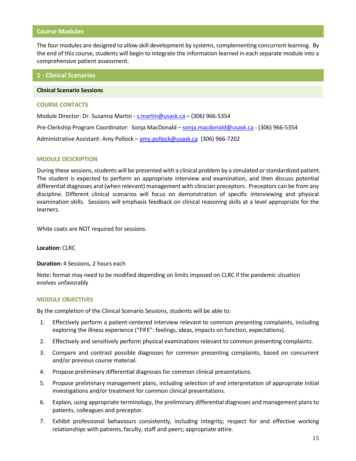## **Course Modules**

The four modules are designed to allow skill development by systems, complementing concurrent learning. By the end of this course, students will begin to integrate the information learned in each separate module into a comprehensive patient assessment.

## **1 - Clinical Scenarios**

#### **Clinical Scenario Sessions**

#### **COURSE CONTACTS**

Module Director: Dr. Susanna Martin - [s.martin@usask.ca](mailto:s.marting@usask.ca) – (306) 966-5354 Pre-Clerkship Program Coordinator: Sonja MacDonald – sonja.macdonald@usask.ca - (306) 966-5354 Administrative Assistant: Amy Pollock – [amy.pollock@usask.ca](mailto:amy.pollock@usask.ca) (306) 966-7202

## **MODULE DESCRIPTION**

During these sessions, students will be presented with a clinical problem by a simulated or standardized patient. The student is expected to perform an appropriate interview and examination, and then discuss potential differential diagnoses and (when relevant) management with clinician preceptors. Preceptors can be from any discipline. Different clinical scenarios will focus on demonstration of specific interviewing and physical examination skills. Sessions will emphasis feedback on clinical reasoning skills at a level appropriate for the learners.

White coats are NOT required for sessions.

## **Location:** CLRC

**Duration:** 4 Sessions, 2 hours each

Note: format may need to be modified depending on limits imposed on CLRC if the pandemic situation evolves unfavorably

## **MODULE OBJECTIVES**

By the completion of the Clinical Scenario Sessions, students will be able to:

- 1. Effectively perform a patient-centered interview relevant to common presenting complaints, including exploring the illness experience ("FIFE": feelings, ideas, impacts on function, expectations).
- 2. Effectively and sensitively perform physical examinations relevant to common presenting complaints.
- 3. Compare and contrast possible diagnoses for common presenting complaints, based on concurrent and/or previous course material.
- 4. Propose preliminary differential diagnoses for common clinical presentations.
- 5. Propose preliminary management plans, including selection of and interpretation of appropriate initial investigations and/or treatment for common clinical presentations.
- 6. Explain, using appropriate terminology, the preliminary differential diagnoses and management plans to patients, colleagues and preceptor.
- 7. Exhibit professional behaviours consistently, including integrity; respect for and effective working relationships with patients, faculty, staff and peers; appropriate attire.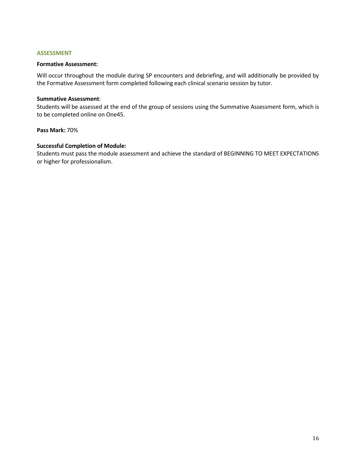## **ASSESSMENT**

## **Formative Assessment:**

Will occur throughout the module during SP encounters and debriefing, and will additionally be provided by the Formative Assessment form completed following each clinical scenario session by tutor.

## **Summative Assessment**:

Students will be assessed at the end of the group of sessions using the Summative Assessment form, which is to be completed online on One45.

## **Pass Mark:** 70%

# **Successful Completion of Module:**

Students must pass the module assessment and achieve the standard of BEGINNING TO MEET EXPECTATIONS or higher for professionalism.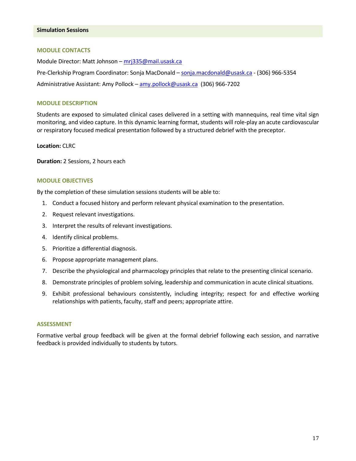## **Simulation Sessions**

#### **MODULE CONTACTS**

Module Director: Matt Johnson - [mrj335@mail.usask.ca](mailto:mrj335@mail.usask.ca) Pre-Clerkship Program Coordinator: Sonja MacDonald – [sonja.macdonald@usask.ca](mailto:sonja.macdonald@usask.ca) - (306) 966-5354 Administrative Assistant: Amy Pollock – [amy.pollock@usask.ca](mailto:amy.pollock@usask.ca) (306) 966-7202

## **MODULE DESCRIPTION**

Students are exposed to simulated clinical cases delivered in a setting with mannequins, real time vital sign monitoring, and video capture. In this dynamic learning format, students will role-play an acute cardiovascular or respiratory focused medical presentation followed by a structured debrief with the preceptor.

**Location:** CLRC

**Duration:** 2 Sessions, 2 hours each

#### **MODULE OBJECTIVES**

By the completion of these simulation sessions students will be able to:

- 1. Conduct a focused history and perform relevant physical examination to the presentation.
- 2. Request relevant investigations.
- 3. Interpret the results of relevant investigations.
- 4. Identify clinical problems.
- 5. Prioritize a differential diagnosis.
- 6. Propose appropriate management plans.
- 7. Describe the physiological and pharmacology principles that relate to the presenting clinical scenario.
- 8. Demonstrate principles of problem solving, leadership and communication in acute clinical situations.
- 9. Exhibit professional behaviours consistently, including integrity; respect for and effective working relationships with patients, faculty, staff and peers; appropriate attire.

#### **ASSESSMENT**

Formative verbal group feedback will be given at the formal debrief following each session, and narrative feedback is provided individually to students by tutors.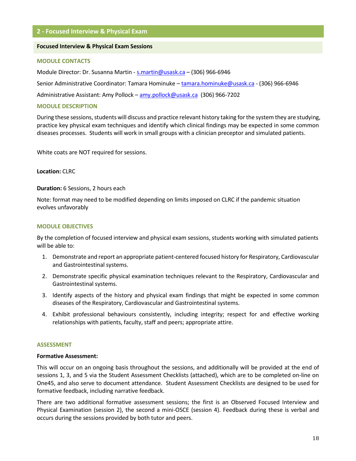# **2 - Focused Interview & Physical Exam**

#### **Focused Interview & Physical Exam Sessions**

#### **MODULE CONTACTS**

Module Director: Dr. Susanna Martin - [s.martin@usask.ca](mailto:s.marting@usask.ca) – (306) 966-6946

Senior Administrative Coordinator: Tamara Hominuke – [tamara.hominuke@usask.ca](mailto:tamara.hominuke@usask.ca) - (306) 966-6946

Administrative Assistant: Amy Pollock – [amy.pollock@usask.ca](mailto:amy.pollock@usask.ca) (306) 966-7202

## **MODULE DESCRIPTION**

During these sessions, students will discuss and practice relevant history taking for the system they are studying, practice key physical exam techniques and identify which clinical findings may be expected in some common diseases processes. Students will work in small groups with a clinician preceptor and simulated patients.

White coats are NOT required for sessions.

**Location:** CLRC

#### **Duration:** 6 Sessions, 2 hours each

Note: format may need to be modified depending on limits imposed on CLRC if the pandemic situation evolves unfavorably

#### **MODULE OBJECTIVES**

By the completion of focused interview and physical exam sessions, students working with simulated patients will be able to:

- 1. Demonstrate and report an appropriate patient-centered focused history for Respiratory, Cardiovascular and Gastrointestinal systems.
- 2. Demonstrate specific physical examination techniques relevant to the Respiratory, Cardiovascular and Gastrointestinal systems.
- 3. Identify aspects of the history and physical exam findings that might be expected in some common diseases of the Respiratory, Cardiovascular and Gastrointestinal systems.
- 4. Exhibit professional behaviours consistently, including integrity; respect for and effective working relationships with patients, faculty, staff and peers; appropriate attire.

#### **ASSESSMENT**

#### **Formative Assessment:**

This will occur on an ongoing basis throughout the sessions, and additionally will be provided at the end of sessions 1, 3, and 5 via the Student Assessment Checklists (attached), which are to be completed on-line on One45, and also serve to document attendance. Student Assessment Checklists are designed to be used for formative feedback, including narrative feedback.

There are two additional formative assessment sessions; the first is an Observed Focused Interview and Physical Examination (session 2), the second a mini-OSCE (session 4). Feedback during these is verbal and occurs during the sessions provided by both tutor and peers.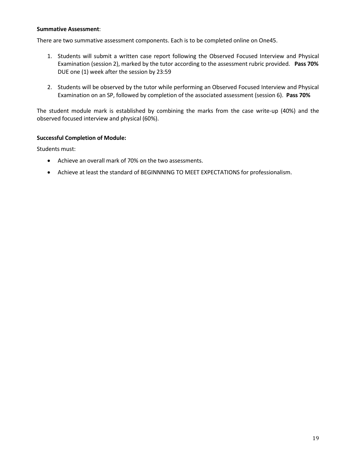## **Summative Assessment**:

There are two summative assessment components. Each is to be completed online on One45.

- 1. Students will submit a written case report following the Observed Focused Interview and Physical Examination (session 2), marked by the tutor according to the assessment rubric provided. **Pass 70%** DUE one (1) week after the session by 23:59
- 2. Students will be observed by the tutor while performing an Observed Focused Interview and Physical Examination on an SP, followed by completion of the associated assessment (session 6). **Pass 70%**

The student module mark is established by combining the marks from the case write-up (40%) and the observed focused interview and physical (60%).

# **Successful Completion of Module:**

Students must:

- Achieve an overall mark of 70% on the two assessments.
- Achieve at least the standard of BEGINNNING TO MEET EXPECTATIONS for professionalism.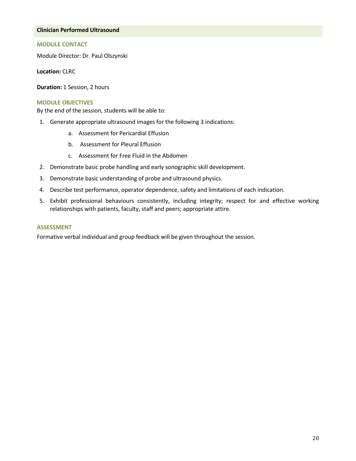## **Clinician Performed Ultrasound**

## **MODULE CONTACT**

Module Director: Dr. Paul Olszynski

**Location:** CLRC

**Duration:** 1 Session, 2 hours

## **MODULE OBJECTIVES**

By the end of the session, students will be able to:

- 1. Generate appropriate ultrasound images for the following 3 indications:
	- a. Assessment for Pericardial Effusion
	- b. Assessment for Pleural Effusion
	- c. Assessment for Free Fluid in the Abdomen
- 2. Demonstrate basic probe handling and early sonographic skill development.
- 3. Demonstrate basic understanding of probe and ultrasound physics.
- 4. Describe test performance, operator dependence, safety and limitations of each indication.
- 5. Exhibit professional behaviours consistently, including integrity; respect for and effective working relationships with patients, faculty, staff and peers; appropriate attire.

## **ASSESSMENT**

Formative verbal individual and group feedback will be given throughout the session.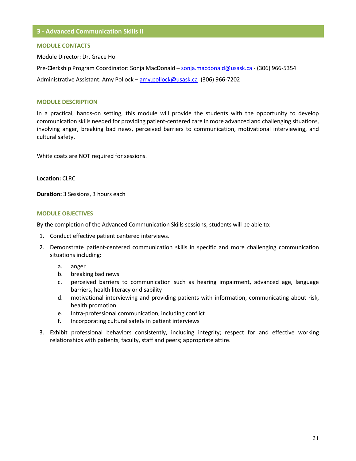#### **MODULE CONTACTS**

Module Director: Dr. Grace Ho

Pre-Clerkship Program Coordinator: Sonja MacDonald – [sonja.macdonald@usask.ca](mailto:sonja.macdonald@usask.ca) - (306) 966-5354 Administrative Assistant: Amy Pollock – [amy.pollock@usask.ca](mailto:amy.pollock@usask.ca) (306) 966-7202

## **MODULE DESCRIPTION**

In a practical, hands-on setting, this module will provide the students with the opportunity to develop communication skills needed for providing patient-centered care in more advanced and challenging situations, involving anger, breaking bad news, perceived barriers to communication, motivational interviewing, and cultural safety.

White coats are NOT required for sessions.

**Location:** CLRC

**Duration:** 3 Sessions, 3 hours each

#### **MODULE OBJECTIVES**

By the completion of the Advanced Communication Skills sessions, students will be able to:

- 1. Conduct effective patient centered interviews.
- 2. Demonstrate patient-centered communication skills in specific and more challenging communication situations including:
	- a. anger
	- b. breaking bad news
	- c. perceived barriers to communication such as hearing impairment, advanced age, language barriers, health literacy or disability
	- d. motivational interviewing and providing patients with information, communicating about risk, health promotion
	- e. Intra-professional communication, including conflict
	- f. Incorporating cultural safety in patient interviews
- 3. Exhibit professional behaviors consistently, including integrity; respect for and effective working relationships with patients, faculty, staff and peers; appropriate attire.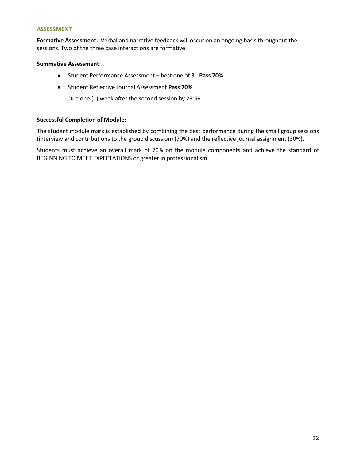## **ASSESSMENT**

**Formative Assessment:** Verbal and narrative feedback will occur on an ongoing basis throughout the sessions. Two of the three case interactions are formative.

## **Summative Assessment**:

- Student Performance Assessment best one of 3 **Pass 70%**
- Student Reflective Journal Assessment **Pass 70%**

Due one (1) week after the second session by 23:59

# **Successful Completion of Module:**

The student module mark is established by combining the best performance during the small group sessions (interview and contributions to the group discussion) (70%) and the reflective journal assignment (30%).

Students must achieve an overall mark of 70% on the module components and achieve the standard of BEGINNING TO MEET EXPECTATIONS or greater in professionalism.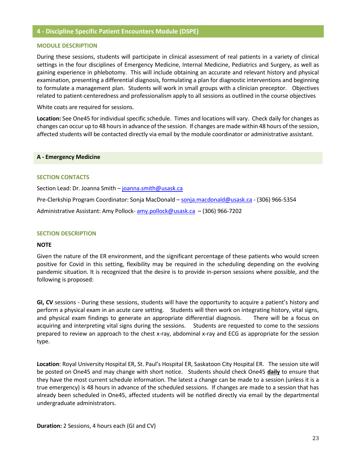## **4 - Discipline Specific Patient Encounters Module (DSPE)**

#### **MODULE DESCRIPTION**

During these sessions, students will participate in clinical assessment of real patients in a variety of clinical settings in the four disciplines of Emergency Medicine, Internal Medicine, Pediatrics and Surgery, as well as gaining experience in phlebotomy. This will include obtaining an accurate and relevant history and physical examination, presenting a differential diagnosis, formulating a plan for diagnostic interventions and beginning to formulate a management plan. Students will work in small groups with a clinician preceptor. Objectives related to patient-centeredness and professionalism apply to all sessions as outlined in the course objectives

White coats are required for sessions.

**Location:** See One45 for individual specific schedule. Times and locations will vary. Check daily for changes as changes can occur up to 48 hours in advance of the session. If changes are made within 48 hours of the session, affected students will be contacted directly via email by the module coordinator or administrative assistant.

#### **A - Emergency Medicine**

## **SECTION CONTACTS**

Section Lead: Dr. Joanna Smith – [joanna.smith@usask.ca](mailto:joanna.smith@usask.ca)

Pre-Clerkship Program Coordinator: Sonja MacDonald – [sonja.macdonald@usask.ca](mailto:sonja.macdonald@usask.ca) - (306) 966-5354

Administrative Assistant: Amy Pollock- [amy.pollock@usask.ca](mailto:amy.pollock@usask.ca) - (306) 966-7202

#### **SECTION DESCRIPTION**

## **NOTE**

Given the nature of the ER environment, and the significant percentage of these patients who would screen positive for Covid in this setting, flexibility may be required in the scheduling depending on the evolving pandemic situation. It is recognized that the desire is to provide in-person sessions where possible, and the following is proposed:

**GI, CV** sessions - During these sessions, students will have the opportunity to acquire a patient's history and perform a physical exam in an acute care setting. Students will then work on integrating history, vital signs, and physical exam findings to generate an appropriate differential diagnosis. There will be a focus on acquiring and interpreting vital signs during the sessions. Students are requested to come to the sessions prepared to review an approach to the chest x-ray, abdominal x-ray and ECG as appropriate for the session type.

**Location**: Royal University Hospital ER, St. Paul's Hospital ER, Saskatoon City Hospital ER. The session site will be posted on One45 and may change with short notice. Students should check One45 **daily** to ensure that they have the most current schedule information. The latest a change can be made to a session (unless it is a true emergency) is 48 hours in advance of the scheduled sessions. If changes are made to a session that has already been scheduled in One45, affected students will be notified directly via email by the departmental undergraduate administrators.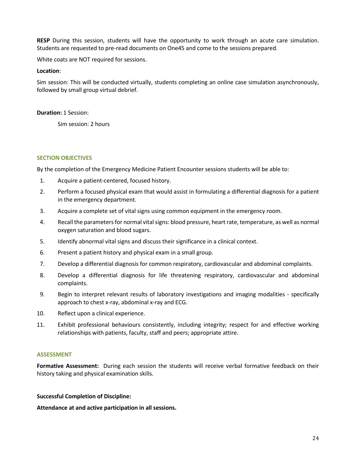**RESP** During this session, students will have the opportunity to work through an acute care simulation. Students are requested to pre-read documents on One45 and come to the sessions prepared.

White coats are NOT required for sessions.

## **Location**:

Sim session: This will be conducted virtually, students completing an online case simulation asynchronously, followed by small group virtual debrief.

## **Duration:** 1 Session:

Sim session: 2 hours

# **SECTION OBJECTIVES**

By the completion of the Emergency Medicine Patient Encounter sessions students will be able to:

- 1. Acquire a patient-centered, focused history.
- 2. Perform a focused physical exam that would assist in formulating a differential diagnosis for a patient in the emergency department.
- 3. Acquire a complete set of vital signs using common equipment in the emergency room.
- 4. Recall the parameters for normal vital signs: blood pressure, heart rate, temperature, as well as normal oxygen saturation and blood sugars.
- 5. Identify abnormal vital signs and discuss their significance in a clinical context.
- 6. Present a patient history and physical exam in a small group.
- 7. Develop a differential diagnosis for common respiratory, cardiovascular and abdominal complaints.
- 8. Develop a differential diagnosis for life threatening respiratory, cardiovascular and abdominal complaints.
- 9. Begin to interpret relevant results of laboratory investigations and imaging modalities specifically approach to chest x-ray, abdominal x-ray and ECG.
- 10. Reflect upon a clinical experience.
- 11. Exhibit professional behaviours consistently, including integrity; respect for and effective working relationships with patients, faculty, staff and peers; appropriate attire.

## **ASSESSMENT**

**Formative Assessment:** During each session the students will receive verbal formative feedback on their history taking and physical examination skills.

## **Successful Completion of Discipline:**

**Attendance at and active participation in all sessions.**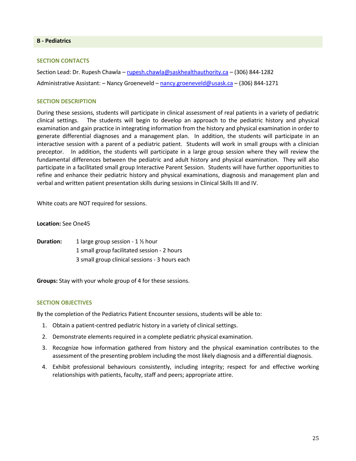## **B - Pediatrics**

## **SECTION CONTACTS**

Section Lead: Dr. Rupesh Chawla – [rupesh.chawla@saskhealthauthority.ca](mailto:rupesh.chawla@saskhealthauthority.ca) – (306) 844-1282 Administrative Assistant: - Nancy Groeneveld - [nancy.groeneveld@usask.ca](mailto:nancy.groeneveld@usask.ca) - (306) 844-1271

## **SECTION DESCRIPTION**

During these sessions, students will participate in clinical assessment of real patients in a variety of pediatric clinical settings. The students will begin to develop an approach to the pediatric history and physical examination and gain practice in integrating information from the history and physical examination in order to generate differential diagnoses and a management plan. In addition, the students will participate in an interactive session with a parent of a pediatric patient. Students will work in small groups with a clinician preceptor. In addition, the students will participate in a large group session where they will review the fundamental differences between the pediatric and adult history and physical examination. They will also participate in a facilitated small group Interactive Parent Session. Students will have further opportunities to refine and enhance their pediatric history and physical examinations, diagnosis and management plan and verbal and written patient presentation skills during sessions in Clinical Skills III and IV.

White coats are NOT required for sessions.

## **Location:** See One45

**Duration:** 1 large group session - 1 ½ hour 1 small group facilitated session - 2 hours 3 small group clinical sessions - 3 hours each

**Groups:** Stay with your whole group of 4 for these sessions.

## **SECTION OBJECTIVES**

By the completion of the Pediatrics Patient Encounter sessions, students will be able to:

- 1. Obtain a patient-centred pediatric history in a variety of clinical settings.
- 2. Demonstrate elements required in a complete pediatric physical examination.
- 3. Recognize how information gathered from history and the physical examination contributes to the assessment of the presenting problem including the most likely diagnosis and a differential diagnosis.
- 4. Exhibit professional behaviours consistently, including integrity; respect for and effective working relationships with patients, faculty, staff and peers; appropriate attire.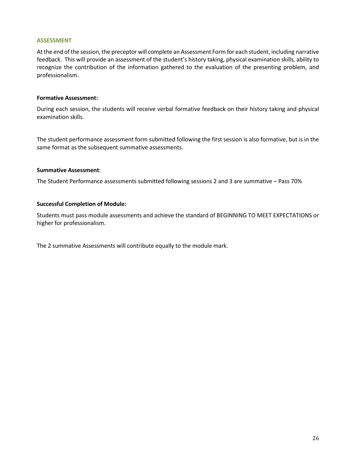## **ASSESSMENT**

At the end of the session, the preceptor will complete an Assessment Form for each student, including narrative feedback. This will provide an assessment of the student's history taking, physical examination skills, ability to recognize the contribution of the information gathered to the evaluation of the presenting problem, and professionalism.

## **Formative Assessment:**

During each session, the students will receive verbal formative feedback on their history taking and physical examination skills.

The student performance assessment form submitted following the first session is also formative, but is in the same format as the subsequent summative assessments.

## **Summative Assessment**:

The Student Performance assessments submitted following sessions 2 and 3 are summative – Pass 70%

## **Successful Completion of Module:**

Students must pass module assessments and achieve the standard of BEGINNING TO MEET EXPECTATIONS or higher for professionalism.

The 2 summative Assessments will contribute equally to the module mark.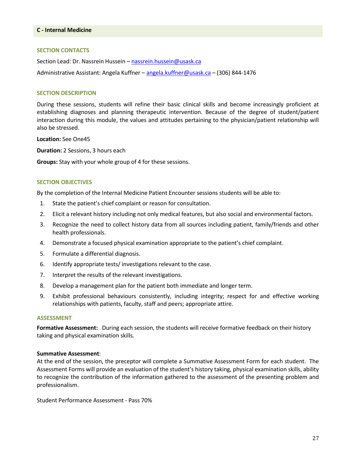#### **SECTION CONTACTS**

Section Lead: Dr. Nassrein Hussein – [nassrein.hussein@usask.ca](mailto:nassrein.hussein@usask.ca)

Administrative Assistant: Angela Kuffner – [angela.kuffner@usask.ca](mailto:angela.kuffner@usask.ca) – (306) 844-1476

#### **SECTION DESCRIPTION**

During these sessions, students will refine their basic clinical skills and become increasingly proficient at establishing diagnoses and planning therapeutic intervention. Because of the degree of student/patient interaction during this module, the values and attitudes pertaining to the physician/patient relationship will also be stressed.

**Location:** See One45

**Duration:** 2 Sessions, 3 hours each

**Groups:** Stay with your whole group of 4 for these sessions.

## **SECTION OBJECTIVES**

By the completion of the Internal Medicine Patient Encounter sessions students will be able to:

- 1. State the patient's chief complaint or reason for consultation.
- 2. Elicit a relevant history including not only medical features, but also social and environmental factors.
- 3. Recognize the need to collect history data from all sources including patient, family/friends and other health professionals.
- 4. Demonstrate a focused physical examination appropriate to the patient's chief complaint.
- 5. Formulate a differential diagnosis.
- 6. Identify appropriate tests/ investigations relevant to the case.
- 7. Interpret the results of the relevant investigations.
- 8. Develop a management plan for the patient both immediate and longer term.
- 9. Exhibit professional behaviours consistently, including integrity; respect for and effective working relationships with patients, faculty, staff and peers; appropriate attire.

#### **ASSESSMENT**

**Formative Assessment:** During each session, the students will receive formative feedback on their history taking and physical examination skills.

#### **Summative Assessment**:

At the end of the session, the preceptor will complete a Summative Assessment Form for each student. The Assessment Forms will provide an evaluation of the student's history taking, physical examination skills, ability to recognize the contribution of the information gathered to the assessment of the presenting problem and professionalism.

Student Performance Assessment - Pass 70%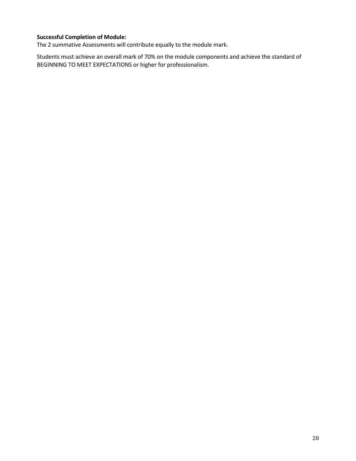# **Successful Completion of Module:**

The 2 summative Assessments will contribute equally to the module mark.

Students must achieve an overall mark of 70% on the module components and achieve the standard of BEGINNING TO MEET EXPECTATIONS or higher for professionalism.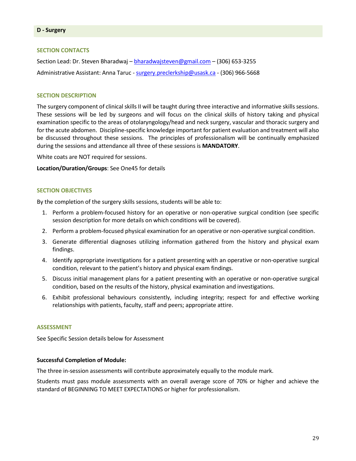## **D - Surgery**

#### **SECTION CONTACTS**

Section Lead: Dr. Steven Bharadwaj – [bharadwajsteven@gmail.com](mailto:bharadwajsteven@gmail.com) – (306) 653-3255 Administrative Assistant: Anna Taruc - [surgery.preclerkship@usask.ca](mailto:surgery.preclerkship@usask.ca) - (306) 966-5668

#### **SECTION DESCRIPTION**

The surgery component of clinical skills II will be taught during three interactive and informative skills sessions. These sessions will be led by surgeons and will focus on the clinical skills of history taking and physical examination specific to the areas of otolaryngology/head and neck surgery, vascular and thoracic surgery and for the acute abdomen. Discipline-specific knowledge important for patient evaluation and treatment will also be discussed throughout these sessions. The principles of professionalism will be continually emphasized during the sessions and attendance all three of these sessions is **MANDATORY**.

White coats are NOT required for sessions.

**Location/Duration/Groups**: See One45 for details

#### **SECTION OBJECTIVES**

By the completion of the surgery skills sessions, students will be able to:

- 1. Perform a problem-focused history for an operative or non-operative surgical condition (see specific session description for more details on which conditions will be covered).
- 2. Perform a problem-focused physical examination for an operative or non-operative surgical condition.
- 3. Generate differential diagnoses utilizing information gathered from the history and physical exam findings.
- 4. Identify appropriate investigations for a patient presenting with an operative or non-operative surgical condition, relevant to the patient's history and physical exam findings.
- 5. Discuss initial management plans for a patient presenting with an operative or non-operative surgical condition, based on the results of the history, physical examination and investigations.
- 6. Exhibit professional behaviours consistently, including integrity; respect for and effective working relationships with patients, faculty, staff and peers; appropriate attire.

#### **ASSESSMENT**

See Specific Session details below for Assessment

#### **Successful Completion of Module:**

The three in-session assessments will contribute approximately equally to the module mark.

Students must pass module assessments with an overall average score of 70% or higher and achieve the standard of BEGINNING TO MEET EXPECTATIONS or higher for professionalism.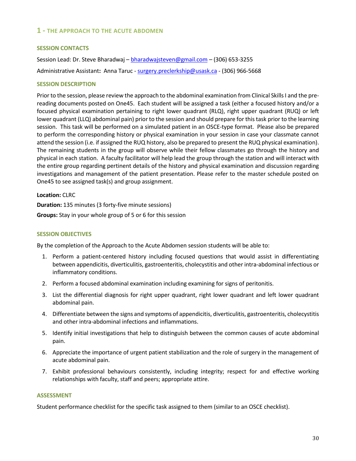# **1 - THE APPROACH TO THE ACUTE ABDOMEN**

## **SESSION CONTACTS**

Session Lead: Dr. Steve Bharadwaj – [bharadwajsteven@gmail.com](mailto:bharadwajsteven@gmail.com) – (306) 653-3255 Administrative Assistant**:** Anna Taruc - [surgery.preclerkship@usask.ca](mailto:surgery.preclerkship@usask.ca) - (306) 966-5668

## **SESSION DESCRIPTION**

Prior to the session, please review the approach to the abdominal examination from Clinical Skills I and the prereading documents posted on One45. Each student will be assigned a task (either a focused history and/or a focused physical examination pertaining to right lower quadrant (RLQ), right upper quadrant (RUQ) or left lower quadrant (LLQ) abdominal pain) prior to the session and should prepare for this task prior to the learning session. This task will be performed on a simulated patient in an OSCE-type format. Please also be prepared to perform the corresponding history or physical examination in your session in case your classmate cannot attend the session (i.e. if assigned the RUQ history, also be prepared to present the RUQ physical examination). The remaining students in the group will observe while their fellow classmates go through the history and physical in each station. A faculty facilitator will help lead the group through the station and will interact with the entire group regarding pertinent details of the history and physical examination and discussion regarding investigations and management of the patient presentation. Please refer to the master schedule posted on One45 to see assigned task(s) and group assignment.

**Location:** CLRC

**Duration:** 135 minutes (3 forty-five minute sessions)

**Groups:** Stay in your whole group of 5 or 6 for this session

## **SESSION OBJECTIVES**

By the completion of the Approach to the Acute Abdomen session students will be able to:

- 1. Perform a patient-centered history including focused questions that would assist in differentiating between appendicitis, diverticulitis, gastroenteritis, cholecystitis and other intra-abdominal infectious or inflammatory conditions.
- 2. Perform a focused abdominal examination including examining for signs of peritonitis.
- 3. List the differential diagnosis for right upper quadrant, right lower quadrant and left lower quadrant abdominal pain.
- 4. Differentiate between the signs and symptoms of appendicitis, diverticulitis, gastroenteritis, cholecystitis and other intra-abdominal infections and inflammations.
- 5. Identify initial investigations that help to distinguish between the common causes of acute abdominal pain.
- 6. Appreciate the importance of urgent patient stabilization and the role of surgery in the management of acute abdominal pain.
- 7. Exhibit professional behaviours consistently, including integrity; respect for and effective working relationships with faculty, staff and peers; appropriate attire.

## **ASSESSMENT**

Student performance checklist for the specific task assigned to them (similar to an OSCE checklist).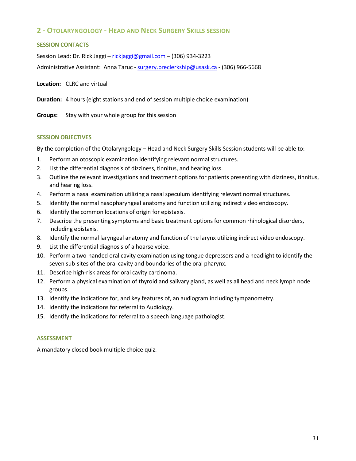# **2 - OTOLARYNGOLOGY - HEAD AND NECK SURGERY SKILLS SESSION**

# **SESSION CONTACTS**

Session Lead: Dr. Rick Jaggi - [rickjaggi@gmail.com](mailto:rickjaggi@gmail.com) - (306) 934-3223

Administrative Assistant: Anna Taruc - [surgery.preclerkship@usask.ca](mailto:surgery.preclerkship@usask.ca) - (306) 966-5668

**Location:** CLRC and virtual

**Duration:** 4 hours (eight stations and end of session multiple choice examination)

**Groups:** Stay with your whole group for this session

## **SESSION OBJECTIVES**

By the completion of the Otolaryngology – Head and Neck Surgery Skills Session students will be able to:

- 1. Perform an otoscopic examination identifying relevant normal structures.
- 2. List the differential diagnosis of dizziness, tinnitus, and hearing loss.
- 3. Outline the relevant investigations and treatment options for patients presenting with dizziness, tinnitus, and hearing loss.
- 4. Perform a nasal examination utilizing a nasal speculum identifying relevant normal structures.
- 5. Identify the normal nasopharyngeal anatomy and function utilizing indirect video endoscopy.
- 6. Identify the common locations of origin for epistaxis.
- 7. Describe the presenting symptoms and basic treatment options for common rhinological disorders, including epistaxis.
- 8. Identify the normal laryngeal anatomy and function of the larynx utilizing indirect video endoscopy.
- 9. List the differential diagnosis of a hoarse voice.
- 10. Perform a two-handed oral cavity examination using tongue depressors and a headlight to identify the seven sub-sites of the oral cavity and boundaries of the oral pharynx.
- 11. Describe high-risk areas for oral cavity carcinoma.
- 12. Perform a physical examination of thyroid and salivary gland, as well as all head and neck lymph node groups.
- 13. Identify the indications for, and key features of, an audiogram including tympanometry.
- 14. Identify the indications for referral to Audiology.
- 15. Identify the indications for referral to a speech language pathologist.

## **ASSESSMENT**

A mandatory closed book multiple choice quiz.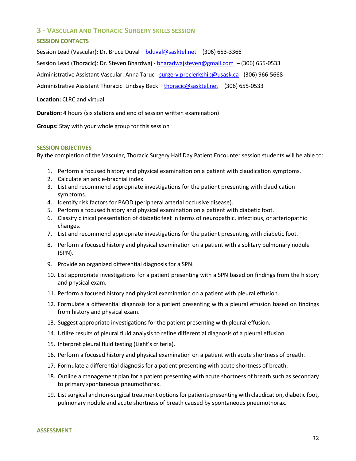# **3 - VASCULAR AND THORACIC SURGERY SKILLS SESSION**

# **SESSION CONTACTS**

Session Lead (Vascular): Dr. Bruce Duval – [bduval@sasktel.net](mailto:bduval@sasktel.net) – (306) 653-3366 Session Lead (Thoracic): Dr. Steven Bhardwaj - [bharadwajsteven@gmail.com](mailto:bharadwajsteven@gmail.com) - (306) 655-0533 Administrative Assistant Vascular: Anna Taruc - [surgery.preclerkship@usask.ca](mailto:surgery.preclerkship@usask.ca) - (306) 966-5668

Administrative Assistant Thoracic: Lindsay Beck – [thoracic@sasktel.net](mailto:thoracic@sasktel.net) – (306) 655-0533

**Location:** CLRC and virtual

**Duration:** 4 hours (six stations and end of session written examination)

**Groups:** Stay with your whole group for this session

## **SESSION OBJECTIVES**

By the completion of the Vascular, Thoracic Surgery Half Day Patient Encounter session students will be able to:

- 1. Perform a focused history and physical examination on a patient with claudication symptoms.
- 2. Calculate an ankle-brachial index.
- 3. List and recommend appropriate investigations for the patient presenting with claudication symptoms.
- 4. Identify risk factors for PAOD (peripheral arterial occlusive disease).
- 5. Perform a focused history and physical examination on a patient with diabetic foot.
- 6. Classify clinical presentation of diabetic feet in terms of neuropathic, infectious, or arteriopathic changes.
- 7. List and recommend appropriate investigations for the patient presenting with diabetic foot.
- 8. Perform a focused history and physical examination on a patient with a solitary pulmonary nodule (SPN).
- 9. Provide an organized differential diagnosis for a SPN.
- 10. List appropriate investigations for a patient presenting with a SPN based on findings from the history and physical exam.
- 11. Perform a focused history and physical examination on a patient with pleural effusion.
- 12. Formulate a differential diagnosis for a patient presenting with a pleural effusion based on findings from history and physical exam.
- 13. Suggest appropriate investigations for the patient presenting with pleural effusion.
- 14. Utilize results of pleural fluid analysis to refine differential diagnosis of a pleural effusion.
- 15. Interpret pleural fluid testing (Light's criteria).
- 16. Perform a focused history and physical examination on a patient with acute shortness of breath.
- 17. Formulate a differential diagnosis for a patient presenting with acute shortness of breath.
- 18. Outline a management plan for a patient presenting with acute shortness of breath such as secondary to primary spontaneous pneumothorax.
- 19. List surgical and non-surgical treatment options for patients presenting with claudication, diabetic foot, pulmonary nodule and acute shortness of breath caused by spontaneous pneumothorax.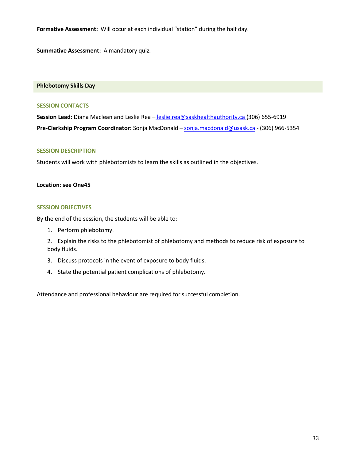**Formative Assessment:** Will occur at each individual "station" during the half day.

**Summative Assessment:** A mandatory quiz.

#### **Phlebotomy Skills Day**

#### **SESSION CONTACTS**

**Session Lead:** Diana Maclean and Leslie Rea – [leslie.rea@saskhealthauthority.ca](mailto:leslie.rea@saskhealthauthority.ca) (306) 655-6919 **Pre-Clerkship Program Coordinator:** Sonja MacDonald – sonja.macdonald@usask.ca - (306) 966-5354

## **SESSION DESCRIPTION**

Students will work with phlebotomists to learn the skills as outlined in the objectives.

## **Location**: **see One45**

## **SESSION OBJECTIVES**

By the end of the session, the students will be able to:

- 1. Perform phlebotomy.
- 2. Explain the risks to the phlebotomist of phlebotomy and methods to reduce risk of exposure to body fluids.
- 3. Discuss protocols in the event of exposure to body fluids.
- 4. State the potential patient complications of phlebotomy.

Attendance and professional behaviour are required for successful completion.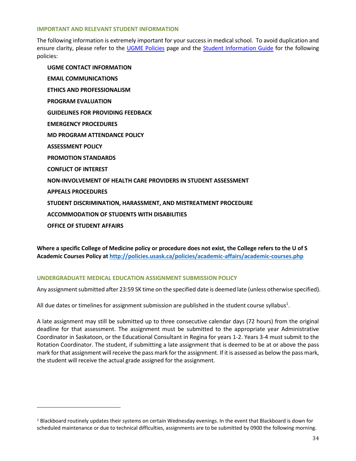## **IMPORTANT AND RELEVANT STUDENT INFORMATION**

The following information is extremely important for your success in medical school. To avoid duplication and ensure clarity, please refer to the [UGME Policies](http://medicine.usask.ca/students/undergraduate/policies.php) page and the [Student Information Guide](https://medicine.usask.ca/students/undergraduate/curriculum-schedules-objectives.php#StudentInformationGuideSyllabi) for the following policies:

**UGME CONTACT INFORMATION EMAIL COMMUNICATIONS ETHICS AND PROFESSIONALISM PROGRAM EVALUATION GUIDELINES FOR PROVIDING FEEDBACK\ EMERGENCY PROCEDURES MD PROGRAM ATTENDANCE POLICY ASSESSMENT POLICY PROMOTION STANDARDS CONFLICT OF INTEREST NON-INVOLVEMENT OF HEALTH CARE PROVIDERS IN STUDENT ASSESSMENT APPEALS PROCEDURES STUDENT DISCRIMINATION, HARASSMENT, AND MISTREATMENT PROCEDURE ACCOMMODATION OF STUDENTS WITH DISABILITIES OFFICE OF STUDENT AFFAIRS**

**Where a specific College of Medicine policy or procedure does not exist, the College refers to the U of S Academic Courses Policy a[t http://policies.usask.ca/policies/academic-affairs/academic-courses.php](http://policies.usask.ca/policies/academic-affairs/academic-courses.php)**

# **UNDERGRADUATE MEDICAL EDUCATION ASSIGNMENT SUBMISSION POLICY**

Any assignment submitted after 23:59 SK time on the specified date is deemed late (unless otherwise specified).

All due dates or timelines for assignment submission are published in the student course syllabus<sup>1</sup>.

A late assignment may still be submitted up to three consecutive calendar days (72 hours) from the original deadline for that assessment. The assignment must be submitted to the appropriate year Administrative Coordinator in Saskatoon, or the Educational Consultant in Regina for years 1-2. Years 3-4 must submit to the Rotation Coordinator. The student, if submitting a late assignment that is deemed to be at or above the pass mark for that assignment will receive the pass mark for the assignment. If it is assessed as below the pass mark, the student will receive the actual grade assigned for the assignment.

 $1$  Blackboard routinely updates their systems on certain Wednesday evenings. In the event that Blackboard is down for scheduled maintenance or due to technical difficulties, assignments are to be submitted by 0900 the following morning.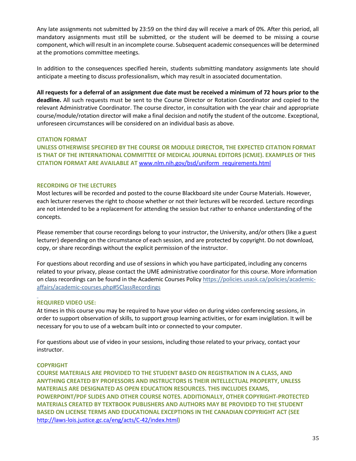Any late assignments not submitted by 23:59 on the third day will receive a mark of 0%. After this period, all mandatory assignments must still be submitted, or the student will be deemed to be missing a course component, which will result in an incomplete course. Subsequent academic consequences will be determined at the promotions committee meetings.

In addition to the consequences specified herein, students submitting mandatory assignments late should anticipate a meeting to discuss professionalism, which may result in associated documentation.

**All requests for a deferral of an assignment due date must be received a minimum of 72 hours prior to the deadline.** All such requests must be sent to the Course Director or Rotation Coordinator and copied to the relevant Administrative Coordinator. The course director, in consultation with the year chair and appropriate course/module/rotation director will make a final decision and notify the student of the outcome. Exceptional, unforeseen circumstances will be considered on an individual basis as above.

## **CITATION FORMAT**

**UNLESS OTHERWISE SPECIFIED BY THE COURSE OR MODULE DIRECTOR, THE EXPECTED CITATION FORMAT IS THAT OF THE INTERNATIONAL COMMITTEE OF MEDICAL JOURNAL EDITORS (ICMJE). EXAMPLES OF THIS CITATION FORMAT ARE AVAILABLE AT** [www.nlm.nih.gov/bsd/uniform\\_requirements.html](http://www.nlm.nih.gov/bsd/uniform_requirements.html)

## **RECORDING OF THE LECTURES**

Most lectures will be recorded and posted to the course Blackboard site under Course Materials. However, each lecturer reserves the right to choose whether or not their lectures will be recorded. Lecture recordings are not intended to be a replacement for attending the session but rather to enhance understanding of the concepts.

Please remember that course recordings belong to your instructor, the University, and/or others (like a guest lecturer) depending on the circumstance of each session, and are protected by copyright. Do not download, copy, or share recordings without the explicit permission of the instructor.

For questions about recording and use of sessions in which you have participated, including any concerns related to your privacy, please contact the UME administrative coordinator for this course. More information on class recordings can be found in the Academic Courses Policy [https://policies.usask.ca/policies/academic](https://policies.usask.ca/policies/academic-affairs/academic-courses.php#5ClassRecordings)[affairs/academic-courses.php#5ClassRecordings](https://policies.usask.ca/policies/academic-affairs/academic-courses.php#5ClassRecordings)

# **REQUIRED VIDEO USE:**

At times in this course you may be required to have your video on during video conferencing sessions, in order to support observation of skills, to support group learning activities, or for exam invigilation. It will be necessary for you to use of a webcam built into or connected to your computer.

For questions about use of video in your sessions, including those related to your privacy, contact your instructor.

## **COPYRIGHT**

**COURSE MATERIALS ARE PROVIDED TO THE STUDENT BASED ON REGISTRATION IN A CLASS, AND ANYTHING CREATED BY PROFESSORS AND INSTRUCTORS IS THEIR INTELLECTUAL PROPERTY, UNLESS MATERIALS ARE DESIGNATED AS OPEN EDUCATION RESOURCES. THIS INCLUDES EXAMS, POWERPOINT/PDF SLIDES AND OTHER COURSE NOTES. ADDITIONALLY, OTHER COPYRIGHT-PROTECTED MATERIALS CREATED BY TEXTBOOK PUBLISHERS AND AUTHORS MAY BE PROVIDED TO THE STUDENT BASED ON LICENSE TERMS AND EDUCATIONAL EXCEPTIONS IN THE CANADIAN COPYRIGHT ACT (SEE**  <http://laws-lois.justice.gc.ca/eng/acts/C-42/index.html>**)**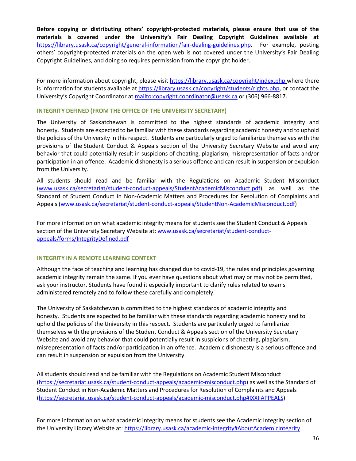**Before copying or distributing others' copyright-protected materials, please ensure that use of the materials is covered under the University's Fair Dealing Copyright Guidelines available at** [https://library.usask.ca/copyright/general-information/fair-dealing-guidelines.php.](https://library.usask.ca/copyright/general-information/fair-dealing-guidelines.php)For example, posting others' copyright-protected materials on the open web is not covered under the University's Fair Dealing Copyright Guidelines, and doing so requires permission from the copyright holder.

For more information about copyright, please visit<https://library.usask.ca/copyright/index.php> where there is information for students available at [https://library.usask.ca/copyright/students/rights.php,](https://library.usask.ca/copyright/students/rights.php) or contact the University's Copyright Coordinator at <mailto:copyright.coordinator@usask.ca> or (306) 966-8817.

## **INTEGRITY DEFINED (FROM THE OFFICE OF THE UNIVERSITY SECRETARY)**

The University of Saskatchewan is committed to the highest standards of academic integrity and honesty. Students are expected to be familiar with these standards regarding academic honesty and to uphold the policies of the University in this respect. Students are particularly urged to familiarize themselves with the provisions of the Student Conduct & Appeals section of the University Secretary Website and avoid any behavior that could potentially result in suspicions of cheating, plagiarism, misrepresentation of facts and/or participation in an offence. Academic dishonesty is a serious offence and can result in suspension or expulsion from the University.

All students should read and be familiar with the Regulations on Academic Student Misconduct [\(www.usask.ca/secretariat/student-conduct-appeals/StudentAcademicMisconduct.pdf\)](http://www.usask.ca/secretariat/student-conduct-appeals/StudentAcademicMisconduct.pdf) as well as the Standard of Student Conduct in Non-Academic Matters and Procedures for Resolution of Complaints and Appeals [\(www.usask.ca/secretariat/student-conduct-appeals/StudentNon-AcademicMisconduct.pdf\)](http://www.usask.ca/secretariat/student-conduct-appeals/StudentNon-AcademicMisconduct.pdf)

For more information on what academic integrity means for students see the Student Conduct & Appeals section of the University Secretary Website at: [www.usask.ca/secretariat/student-conduct](http://www.usask.ca/secretariat/student-conduct-appeals/forms/IntegrityDefined.pdf)[appeals/forms/IntegrityDefined.pdf](http://www.usask.ca/secretariat/student-conduct-appeals/forms/IntegrityDefined.pdf)

## **INTEGRITY IN A REMOTE LEARNING CONTEXT**

Although the face of teaching and learning has changed due to covid-19, the rules and principles governing academic integrity remain the same. If you ever have questions about what may or may not be permitted, ask your instructor. Students have found it especially important to clarify rules related to exams administered remotely and to follow these carefully and completely.

The University of Saskatchewan is committed to the highest standards of academic integrity and honesty. Students are expected to be familiar with these standards regarding academic honesty and to uphold the policies of the University in this respect. Students are particularly urged to familiarize themselves with the provisions of the Student Conduct & Appeals section of the University Secretary Website and avoid any behavior that could potentially result in suspicions of cheating, plagiarism, misrepresentation of facts and/or participation in an offence. Academic dishonesty is a serious offence and can result in suspension or expulsion from the University.

All students should read and be familiar with the Regulations on Academic Student Misconduct [\(https://secretariat.usask.ca/student-conduct-appeals/academic-misconduct.php\)](https://secretariat.usask.ca/student-conduct-appeals/academic-misconduct.php) as well as the Standard of Student Conduct in Non-Academic Matters and Procedures for Resolution of Complaints and Appeals [\(https://secretariat.usask.ca/student-conduct-appeals/academic-misconduct.php#IXXIIAPPEALS\)](https://secretariat.usask.ca/student-conduct-appeals/academic-misconduct.php#IXXIIAPPEALS)

For more information on what academic integrity means for students see the Academic Integrity section of the University Library Website at:<https://library.usask.ca/academic-integrity#AboutAcademicIntegrity>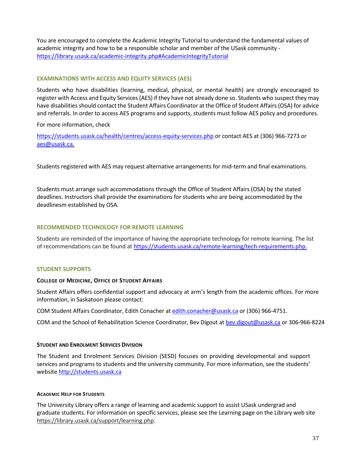You are encouraged to complete the Academic Integrity Tutorial to understand the fundamental values of academic integrity and how to be a responsible scholar and member of the USask community <https://library.usask.ca/academic-integrity.php#AcademicIntegrityTutorial>

# **EXAMINATIONS WITH ACCESS AND EQUITY SERVICES (AES)**

Students who have disabilities (learning, medical, physical, or mental health) are strongly encouraged to register with Access and Equity Services (AES) if they have not already done so. Students who suspect they may have disabilities should contact the Student Affairs Coordinator at the Office of Student Affairs (OSA) for advice and referrals. In order to access AES programs and supports, students must follow AES policy and procedures.

For more information, check

<https://students.usask.ca/health/centres/access-equity-services.php> or contact AES at (306) 966-7273 or aes@usask.ca.

Students registered with AES may request alternative arrangements for mid-term and final examinations.

Students must arrange such accommodations through the Office of Student Affairs (OSA) by the stated deadlines. Instructors shall provide the examinations for students who are being accommodated by the deadlinesm established by OSA.

# **RECOMMENDED TECHNOLOGY FOR REMOTE LEARNING**

Students are reminded of the importance of having the appropriate technology for remote learning. The list of recommendations can be found at [https://students.usask.ca/remote-learning/tech-requirements.php.](https://students.usask.ca/remote-learning/tech-requirements.php)

# **STUDENT SUPPORTS**

# **COLLEGE OF MEDICINE, OFFICE OF STUDENT AFFAIRS**

Student Affairs offers confidential support and advocacy at arm's length from the academic offices. For more information, in Saskatoon please contact:

COM Student Affairs Coordinator, Edith Conacher at edith.conacher@usask.ca or (306) 966-4751.

COM and the School of Rehabilitation Science Coordinator, Bev Digout at [bev.digout@usask.ca](mailto:bev.digout@usask.ca) or 306-966-8224

## **STUDENT AND ENROLMENT SERVICES DIVISION**

The Student and Enrolment Services Division (SESD) focuses on providing developmental and support services and programs to students and the university community. For more information, see the students' website [http://students.usask.ca](http://students.usask.ca/)

## **ACADEMIC HELP FOR STUDENTS**

The University Library offers a range of learning and academic support to assist USask undergrad and graduate students. For information on specific services, please see the Learning page on the Library web site [https://library.usask.ca/support/learning.php.](https://library.usask.ca/support/learning.php)